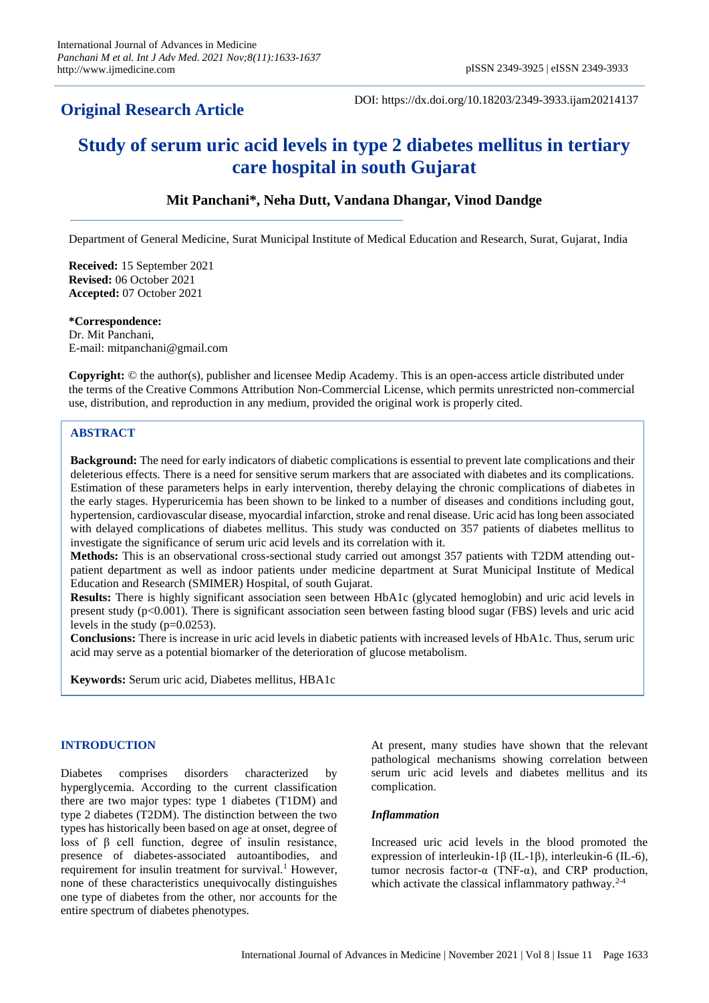# **Original Research Article**

DOI: https://dx.doi.org/10.18203/2349-3933.ijam20214137

# **Study of serum uric acid levels in type 2 diabetes mellitus in tertiary care hospital in south Gujarat**

# **Mit Panchani\*, Neha Dutt, Vandana Dhangar, Vinod Dandge**

Department of General Medicine, Surat Municipal Institute of Medical Education and Research, Surat, Gujarat, India

**Received:** 15 September 2021 **Revised:** 06 October 2021 **Accepted:** 07 October 2021

**\*Correspondence:** Dr. Mit Panchani,

E-mail: mitpanchani@gmail.com

**Copyright:** © the author(s), publisher and licensee Medip Academy. This is an open-access article distributed under the terms of the Creative Commons Attribution Non-Commercial License, which permits unrestricted non-commercial use, distribution, and reproduction in any medium, provided the original work is properly cited.

# **ABSTRACT**

**Background:** The need for early indicators of diabetic complications is essential to prevent late complications and their deleterious effects. There is a need for sensitive serum markers that are associated with diabetes and its complications. Estimation of these parameters helps in early intervention, thereby delaying the chronic complications of diabetes in the early stages. Hyperuricemia has been shown to be linked to a number of diseases and conditions including gout, hypertension, cardiovascular disease, myocardial infarction, stroke and renal disease. Uric acid has long been associated with delayed complications of diabetes mellitus. This study was conducted on 357 patients of diabetes mellitus to investigate the significance of serum uric acid levels and its correlation with it.

**Methods:** This is an observational cross-sectional study carried out amongst 357 patients with T2DM attending outpatient department as well as indoor patients under medicine department at Surat Municipal Institute of Medical Education and Research (SMIMER) Hospital, of south Gujarat.

**Results:** There is highly significant association seen between HbA1c (glycated hemoglobin) and uric acid levels in present study (p<0.001). There is significant association seen between fasting blood sugar (FBS) levels and uric acid levels in the study (p=0.0253).

**Conclusions:** There is increase in uric acid levels in diabetic patients with increased levels of HbA1c. Thus, serum uric acid may serve as a potential biomarker of the deterioration of glucose metabolism.

**Keywords:** Serum uric acid, Diabetes mellitus, HBA1c

# **INTRODUCTION**

Diabetes comprises disorders characterized by hyperglycemia. According to the current classification there are two major types: type 1 diabetes (T1DM) and type 2 diabetes (T2DM). The distinction between the two types has historically been based on age at onset, degree of loss of β cell function, degree of insulin resistance, presence of diabetes-associated autoantibodies, and requirement for insulin treatment for survival.<sup>1</sup> However, none of these characteristics unequivocally distinguishes one type of diabetes from the other, nor accounts for the entire spectrum of diabetes phenotypes.

At present, many studies have shown that the relevant pathological mechanisms showing correlation between serum uric acid levels and diabetes mellitus and its complication.

#### *Inflammation*

Increased uric acid levels in the blood promoted the expression of interleukin-1β (IL-1β), interleukin-6 (IL-6), tumor necrosis factor-α (TNF-α), and CRP production, which activate the classical inflammatory pathway.<sup>2-4</sup>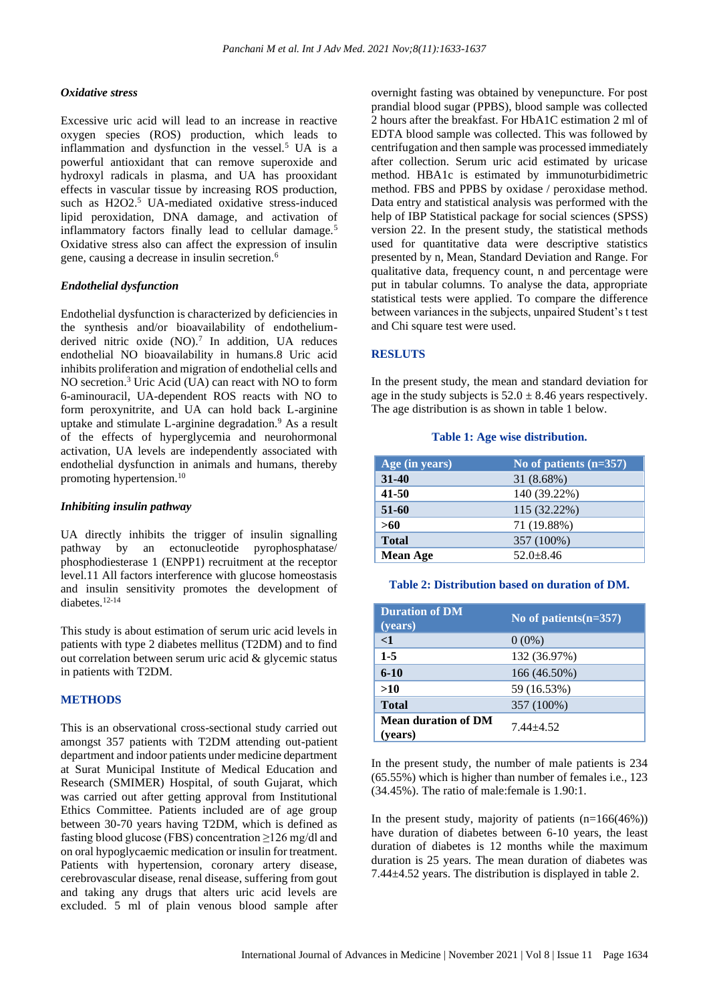#### *Oxidative stress*

Excessive uric acid will lead to an increase in reactive oxygen species (ROS) production, which leads to inflammation and dysfunction in the vessel.<sup>5</sup> UA is a powerful antioxidant that can remove superoxide and hydroxyl radicals in plasma, and UA has prooxidant effects in vascular tissue by increasing ROS production, such as H2O2.<sup>5</sup> UA-mediated oxidative stress-induced lipid peroxidation, DNA damage, and activation of inflammatory factors finally lead to cellular damage.<sup>5</sup> Oxidative stress also can affect the expression of insulin gene, causing a decrease in insulin secretion.<sup>6</sup>

#### *Endothelial dysfunction*

Endothelial dysfunction is characterized by deficiencies in the synthesis and/or bioavailability of endotheliumderived nitric oxide  $(NO)$ .<sup>7</sup> In addition, UA reduces endothelial NO bioavailability in humans.8 Uric acid inhibits proliferation and migration of endothelial cells and NO secretion.<sup>3</sup> Uric Acid (UA) can react with NO to form 6-aminouracil, UA-dependent ROS reacts with NO to form peroxynitrite, and UA can hold back L-arginine uptake and stimulate L-arginine degradation.<sup>9</sup> As a result of the effects of hyperglycemia and neurohormonal activation, UA levels are independently associated with endothelial dysfunction in animals and humans, thereby promoting hypertension.<sup>10</sup>

#### *Inhibiting insulin pathway*

UA directly inhibits the trigger of insulin signalling pathway by an ectonucleotide pyrophosphatase/ phosphodiesterase 1 (ENPP1) recruitment at the receptor level.11 All factors interference with glucose homeostasis and insulin sensitivity promotes the development of diabetes.12-14

This study is about estimation of serum uric acid levels in patients with type 2 diabetes mellitus (T2DM) and to find out correlation between serum uric acid & glycemic status in patients with T2DM.

# **METHODS**

This is an observational cross-sectional study carried out amongst 357 patients with T2DM attending out-patient department and indoor patients under medicine department at Surat Municipal Institute of Medical Education and Research (SMIMER) Hospital, of south Gujarat, which was carried out after getting approval from Institutional Ethics Committee. Patients included are of age group between 30-70 years having T2DM, which is defined as fasting blood glucose (FBS) concentration ≥126 mg/dl and on oral hypoglycaemic medication or insulin for treatment. Patients with hypertension, coronary artery disease, cerebrovascular disease, renal disease, suffering from gout and taking any drugs that alters uric acid levels are excluded. 5 ml of plain venous blood sample after overnight fasting was obtained by venepuncture. For post prandial blood sugar (PPBS), blood sample was collected 2 hours after the breakfast. For HbA1C estimation 2 ml of EDTA blood sample was collected. This was followed by centrifugation and then sample was processed immediately after collection. Serum uric acid estimated by uricase method. HBA1c is estimated by immunoturbidimetric method. FBS and PPBS by oxidase / peroxidase method. Data entry and statistical analysis was performed with the help of IBP Statistical package for social sciences (SPSS) version 22. In the present study, the statistical methods used for quantitative data were descriptive statistics presented by n, Mean, Standard Deviation and Range. For qualitative data, frequency count, n and percentage were put in tabular columns. To analyse the data, appropriate statistical tests were applied. To compare the difference between variances in the subjects, unpaired Student's t test and Chi square test were used.

#### **RESLUTS**

In the present study, the mean and standard deviation for age in the study subjects is  $52.0 \pm 8.46$  years respectively. The age distribution is as shown in table 1 below.

#### **Table 1: Age wise distribution.**

| Age (in years)  | No of patients $(n=357)$ |
|-----------------|--------------------------|
| $31 - 40$       | 31 (8.68%)               |
| $41 - 50$       | 140 (39.22%)             |
| $51 - 60$       | 115 (32.22%)             |
| >60             | 71 (19.88%)              |
| <b>Total</b>    | 357 (100%)               |
| <b>Mean Age</b> | $52.0 + 8.46$            |

#### **Table 2: Distribution based on duration of DM.**

| <b>Duration of DM</b><br>(years)      | No of patients $(n=357)$ |
|---------------------------------------|--------------------------|
| $\leq$ 1                              | $0(0\%)$                 |
| $1 - 5$                               | 132 (36.97%)             |
| $6-10$                                | 166 (46.50%)             |
| >10                                   | 59 (16.53%)              |
| <b>Total</b>                          | 357 (100%)               |
| <b>Mean duration of DM</b><br>(vears) | $7.44 + 4.52$            |

In the present study, the number of male patients is 234 (65.55%) which is higher than number of females i.e., 123 (34.45%). The ratio of male:female is 1.90:1.

In the present study, majority of patients  $(n=166(46\%))$ have duration of diabetes between 6-10 years, the least duration of diabetes is 12 months while the maximum duration is 25 years. The mean duration of diabetes was 7.44±4.52 years. The distribution is displayed in table 2.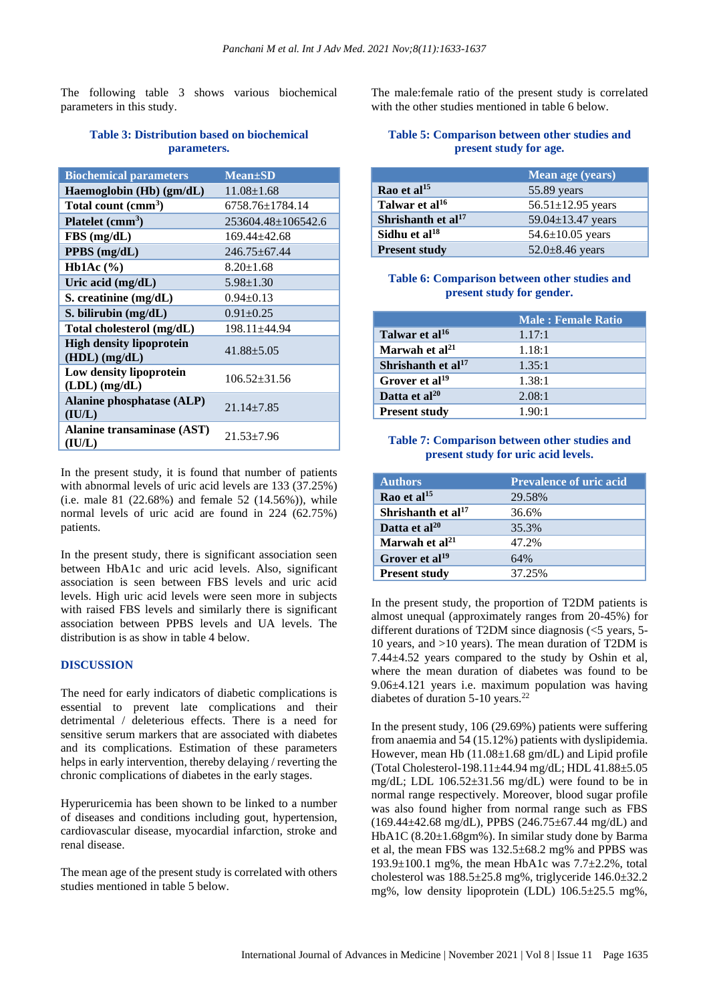The following table 3 shows various biochemical parameters in this study.

# **Table 3: Distribution based on biochemical parameters.**

| <b>Biochemical parameters</b>                      | <b>Mean±SD</b>     |
|----------------------------------------------------|--------------------|
| Haemoglobin $(Hb)$ (gm/dL)                         | $11.08 \pm 1.68$   |
| Total count (cmm <sup>3</sup> )                    | 6758.76±1784.14    |
| Platelet $\text{(cmm}^3)$                          | 253604.48±106542.6 |
| FBS(mg/dL)                                         | $169.44 + 42.68$   |
| $PPBS$ (mg/dL)                                     | 246.75±67.44       |
| Hb1Ac $(\% )$                                      | $8.20 \pm 1.68$    |
| Uric acid (mg/dL)                                  | $5.98 \pm 1.30$    |
| S. creatinine (mg/dL)                              | $0.94 \pm 0.13$    |
| S. bilirubin $(mg/dL)$                             | $0.91 \pm 0.25$    |
| Total cholesterol (mg/dL)                          | $198.11 + 44.94$   |
| <b>High density lipoprotein</b><br>$(HDL)$ (mg/dL) | $41.88 + 5.05$     |
| Low density lipoprotein<br>$(LDL)$ (mg/dL)         | $106.52 + 31.56$   |
| <b>Alanine phosphatase (ALP)</b><br>(IU/L)         | $21.14 + 7.85$     |
| Alanine transaminase (AST)<br>(IU/L)               | 21.53+7.96         |

In the present study, it is found that number of patients with abnormal levels of uric acid levels are 133 (37.25%) (i.e. male 81 (22.68%) and female 52 (14.56%)), while normal levels of uric acid are found in 224 (62.75%) patients.

In the present study, there is significant association seen between HbA1c and uric acid levels. Also, significant association is seen between FBS levels and uric acid levels. High uric acid levels were seen more in subjects with raised FBS levels and similarly there is significant association between PPBS levels and UA levels. The distribution is as show in table 4 below.

#### **DISCUSSION**

The need for early indicators of diabetic complications is essential to prevent late complications and their detrimental / deleterious effects. There is a need for sensitive serum markers that are associated with diabetes and its complications. Estimation of these parameters helps in early intervention, thereby delaying / reverting the chronic complications of diabetes in the early stages.

Hyperuricemia has been shown to be linked to a number of diseases and conditions including gout, hypertension, cardiovascular disease, myocardial infarction, stroke and renal disease.

The mean age of the present study is correlated with others studies mentioned in table 5 below.

The male:female ratio of the present study is correlated with the other studies mentioned in table 6 below.

### **Table 5: Comparison between other studies and present study for age.**

|                                | Mean age (years)        |
|--------------------------------|-------------------------|
| Rao et al $^{15}$              | 55.89 years             |
| Talwar et al <sup>16</sup>     | 56.51 $\pm$ 12.95 years |
| Shrishanth et al <sup>17</sup> | 59.04 $\pm$ 13.47 years |
| Sidhu et al $^{18}$            | $54.6 \pm 10.05$ years  |
| <b>Present study</b>           | $52.0 \pm 8.46$ years   |

#### **Table 6: Comparison between other studies and present study for gender.**

|                                | <b>Male: Female Ratio</b> |
|--------------------------------|---------------------------|
| Talwar et al <sup>16</sup>     | 1.17:1                    |
| Marwah et al <sup>21</sup>     | 1.18:1                    |
| Shrishanth et al <sup>17</sup> | 1.35:1                    |
| Grover et al <sup>19</sup>     | 1.38:1                    |
| Datta et al $^{20}$            | 2.08:1                    |
| <b>Present study</b>           | 1.90:1                    |

#### **Table 7: Comparison between other studies and present study for uric acid levels.**

| <b>Authors</b>             | <b>Prevalence of uric acid</b> |
|----------------------------|--------------------------------|
| Rao et al $^{15}$          | 29.58%                         |
| Shrishanth et al $17$      | 36.6%                          |
| Datta et al <sup>20</sup>  | 35.3%                          |
| Marwah et $al21$           | 47.2%                          |
| Grover et al <sup>19</sup> | 64%                            |
| <b>Present study</b>       | 37.25%                         |

In the present study, the proportion of T2DM patients is almost unequal (approximately ranges from 20-45%) for different durations of T2DM since diagnosis (<5 years, 5- 10 years, and >10 years). The mean duration of T2DM is 7.44±4.52 years compared to the study by Oshin et al, where the mean duration of diabetes was found to be 9.06±4.121 years i.e. maximum population was having diabetes of duration 5-10 years.<sup>22</sup>

In the present study, 106 (29.69%) patients were suffering from anaemia and 54 (15.12%) patients with dyslipidemia. However, mean Hb (11.08±1.68 gm/dL) and Lipid profile (Total Cholesterol-198.11±44.94 mg/dL; HDL 41.88±5.05 mg/dL; LDL 106.52±31.56 mg/dL) were found to be in normal range respectively. Moreover, blood sugar profile was also found higher from normal range such as FBS (169.44±42.68 mg/dL), PPBS (246.75±67.44 mg/dL) and HbA1C (8.20±1.68gm%). In similar study done by Barma et al, the mean FBS was 132.5±68.2 mg% and PPBS was 193.9 $\pm$ 100.1 mg%, the mean HbA1c was 7.7 $\pm$ 2.2%, total cholesterol was 188.5±25.8 mg%, triglyceride 146.0±32.2 mg%, low density lipoprotein (LDL) 106.5±25.5 mg%,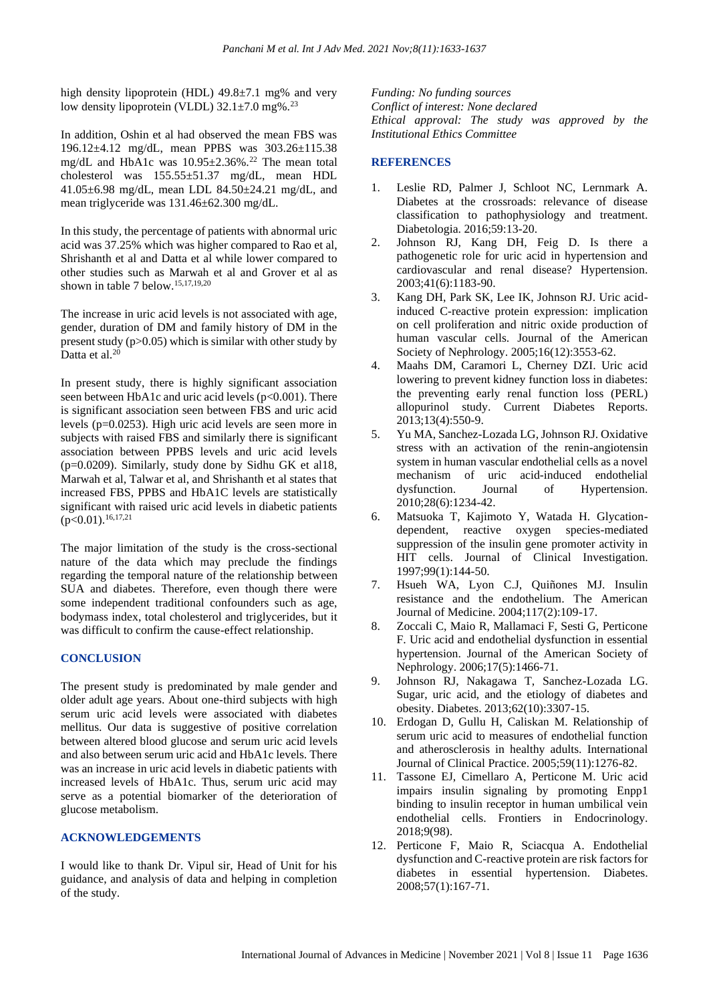high density lipoprotein (HDL) 49.8 $\pm$ 7.1 mg% and very low density lipoprotein (VLDL)  $32.1 \pm 7.0$  mg%.<sup>23</sup>

In addition, Oshin et al had observed the mean FBS was 196.12±4.12 mg/dL, mean PPBS was 303.26±115.38 mg/dL and HbA1c was 10.95±2.36%.<sup>22</sup> The mean total cholesterol was 155.55±51.37 mg/dL, mean HDL 41.05±6.98 mg/dL, mean LDL 84.50±24.21 mg/dL, and mean triglyceride was 131.46±62.300 mg/dL.

In this study, the percentage of patients with abnormal uric acid was 37.25% which was higher compared to Rao et al, Shrishanth et al and Datta et al while lower compared to other studies such as Marwah et al and Grover et al as shown in table 7 below.15,17,19,20

The increase in uric acid levels is not associated with age, gender, duration of DM and family history of DM in the present study (p>0.05) which is similar with other study by Datta et al.<sup>20</sup>

In present study, there is highly significant association seen between HbA1c and uric acid levels (p<0.001). There is significant association seen between FBS and uric acid levels (p=0.0253). High uric acid levels are seen more in subjects with raised FBS and similarly there is significant association between PPBS levels and uric acid levels  $(p=0.0209)$ . Similarly, study done by Sidhu GK et al18, Marwah et al, Talwar et al, and Shrishanth et al states that increased FBS, PPBS and HbA1C levels are statistically significant with raised uric acid levels in diabetic patients  $(p<0.01).$ <sup>16,17,21</sup>

The major limitation of the study is the cross-sectional nature of the data which may preclude the findings regarding the temporal nature of the relationship between SUA and diabetes. Therefore, even though there were some independent traditional confounders such as age, bodymass index, total cholesterol and triglycerides, but it was difficult to confirm the cause-effect relationship.

# **CONCLUSION**

The present study is predominated by male gender and older adult age years. About one-third subjects with high serum uric acid levels were associated with diabetes mellitus. Our data is suggestive of positive correlation between altered blood glucose and serum uric acid levels and also between serum uric acid and HbA1c levels. There was an increase in uric acid levels in diabetic patients with increased levels of HbA1c. Thus, serum uric acid may serve as a potential biomarker of the deterioration of glucose metabolism.

#### **ACKNOWLEDGEMENTS**

I would like to thank Dr. Vipul sir, Head of Unit for his guidance, and analysis of data and helping in completion of the study.

*Funding: No funding sources Conflict of interest: None declared Ethical approval: The study was approved by the Institutional Ethics Committee*

# **REFERENCES**

- 1. Leslie RD, Palmer J, Schloot NC, Lernmark A. Diabetes at the crossroads: relevance of disease classification to pathophysiology and treatment. Diabetologia. 2016;59:13-20.
- 2. Johnson RJ, Kang DH, Feig D. Is there a pathogenetic role for uric acid in hypertension and cardiovascular and renal disease? Hypertension. 2003;41(6):1183-90.
- 3. Kang DH, Park SK, Lee IK, Johnson RJ. Uric acidinduced C-reactive protein expression: implication on cell proliferation and nitric oxide production of human vascular cells. Journal of the American Society of Nephrology. 2005;16(12):3553-62.
- 4. Maahs DM, Caramori L, Cherney DZI. Uric acid lowering to prevent kidney function loss in diabetes: the preventing early renal function loss (PERL) allopurinol study. Current Diabetes Reports. 2013;13(4):550-9.
- 5. Yu MA, Sanchez-Lozada LG, Johnson RJ. Oxidative stress with an activation of the renin-angiotensin system in human vascular endothelial cells as a novel mechanism of uric acid-induced endothelial<br>dysfunction. Journal of Hypertension. dysfunction. Journal of Hypertension. 2010;28(6):1234-42.
- 6. Matsuoka T, Kajimoto Y, Watada H. Glycationdependent, reactive oxygen species-mediated suppression of the insulin gene promoter activity in HIT cells. Journal of Clinical Investigation. 1997;99(1):144-50.
- 7. Hsueh WA, Lyon C.J, Quiñones MJ. Insulin resistance and the endothelium. The American Journal of Medicine. 2004;117(2):109-17.
- 8. Zoccali C, Maio R, Mallamaci F, Sesti G, Perticone F. Uric acid and endothelial dysfunction in essential hypertension. Journal of the American Society of Nephrology. 2006;17(5):1466-71.
- 9. Johnson RJ, Nakagawa T, Sanchez-Lozada LG. Sugar, uric acid, and the etiology of diabetes and obesity. Diabetes. 2013;62(10):3307-15.
- 10. Erdogan D, Gullu H, Caliskan M. Relationship of serum uric acid to measures of endothelial function and atherosclerosis in healthy adults. International Journal of Clinical Practice. 2005;59(11):1276-82.
- 11. Tassone EJ, Cimellaro A, Perticone M. Uric acid impairs insulin signaling by promoting Enpp1 binding to insulin receptor in human umbilical vein endothelial cells. Frontiers in Endocrinology. 2018;9(98).
- 12. Perticone F, Maio R, Sciacqua A. Endothelial dysfunction and C-reactive protein are risk factors for diabetes in essential hypertension. Diabetes. 2008;57(1):167-71.